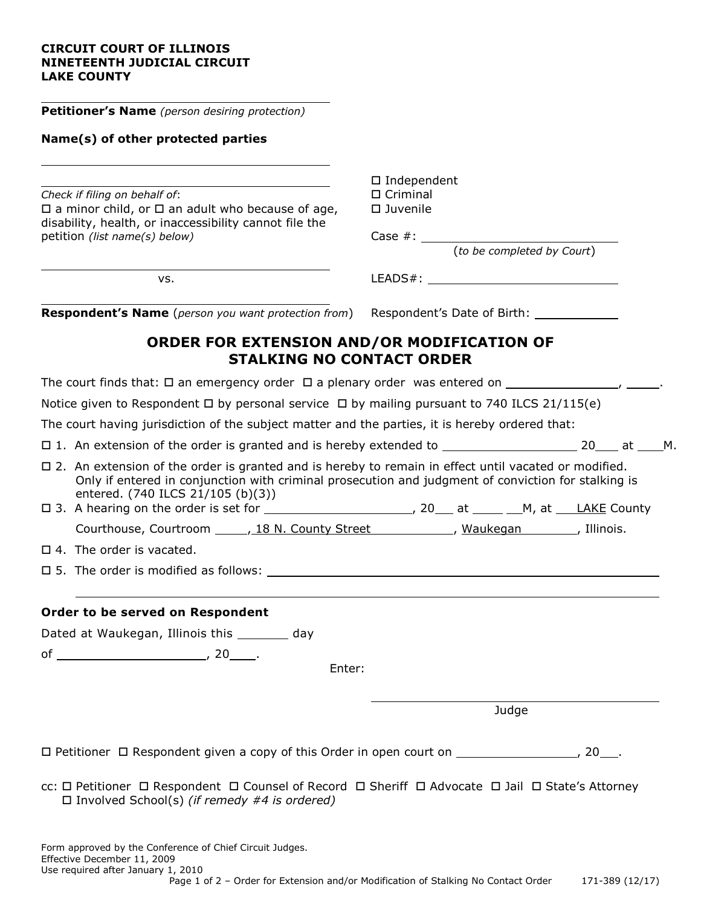### **CIRCUIT COURT OF ILLINOIS NINETEENTH JUDICIAL CIRCUIT LAKE COUNTY**

| <b>Petitioner's Name</b> (person desiring protection)                                                                                                                                                                                              |                                                                                                                      |       |  |  |
|----------------------------------------------------------------------------------------------------------------------------------------------------------------------------------------------------------------------------------------------------|----------------------------------------------------------------------------------------------------------------------|-------|--|--|
| Name(s) of other protected parties                                                                                                                                                                                                                 |                                                                                                                      |       |  |  |
| Check if filing on behalf of:<br>$\square$ a minor child, or $\square$ an adult who because of age,<br>disability, health, or inaccessibility cannot file the<br>petition (list name(s) below)                                                     | $\square$ Independent<br>$\Box$ Criminal<br>$\square$ Juvenile<br>Case $\#$ : $\frac{1}{(to be completed by Court)}$ |       |  |  |
| VS.                                                                                                                                                                                                                                                |                                                                                                                      |       |  |  |
| <b>Respondent's Name</b> (person you want protection from)                                                                                                                                                                                         |                                                                                                                      |       |  |  |
| ORDER FOR EXTENSION AND/OR MODIFICATION OF<br><b>STALKING NO CONTACT ORDER</b>                                                                                                                                                                     |                                                                                                                      |       |  |  |
|                                                                                                                                                                                                                                                    |                                                                                                                      |       |  |  |
| Notice given to Respondent $\Box$ by personal service $\Box$ by mailing pursuant to 740 ILCS 21/115(e)                                                                                                                                             |                                                                                                                      |       |  |  |
| The court having jurisdiction of the subject matter and the parties, it is hereby ordered that:                                                                                                                                                    |                                                                                                                      |       |  |  |
|                                                                                                                                                                                                                                                    |                                                                                                                      |       |  |  |
| □ 2. An extension of the order is granted and is hereby to remain in effect until vacated or modified.<br>Only if entered in conjunction with criminal prosecution and judgment of conviction for stalking is<br>entered. (740 ILCS 21/105 (b)(3)) |                                                                                                                      |       |  |  |
| Courthouse, Courtroom ______, 18 N. County Street ____________, Waukegan _______, Illinois.                                                                                                                                                        |                                                                                                                      |       |  |  |
| $\Box$ 4. The order is vacated.                                                                                                                                                                                                                    |                                                                                                                      |       |  |  |
| $\square$ 5. The order is modified as follows: $\square$                                                                                                                                                                                           |                                                                                                                      |       |  |  |
| Order to be served on Respondent                                                                                                                                                                                                                   |                                                                                                                      |       |  |  |
| Dated at Waukegan, Illinois this ________ day<br>Enter:                                                                                                                                                                                            |                                                                                                                      |       |  |  |
|                                                                                                                                                                                                                                                    |                                                                                                                      | Judge |  |  |
|                                                                                                                                                                                                                                                    |                                                                                                                      |       |  |  |
| □ Petitioner □ Respondent given a copy of this Order in open court on ____________________, 20___.                                                                                                                                                 |                                                                                                                      |       |  |  |
| cc: □ Petitioner □ Respondent □ Counsel of Record □ Sheriff □ Advocate □ Jail □ State's Attorney<br>$\Box$ Involved School(s) (if remedy #4 is ordered)                                                                                            |                                                                                                                      |       |  |  |